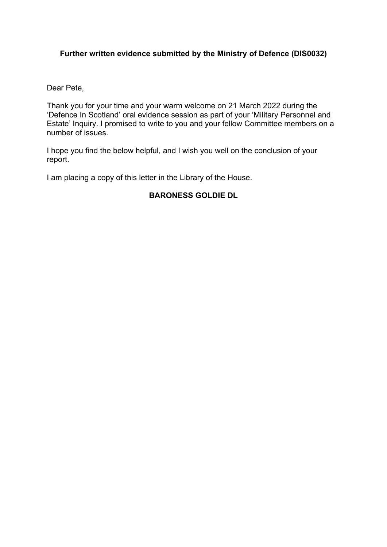# **Further written evidence submitted by the Ministry of Defence (DIS0032)**

Dear Pete,

Thank you for your time and your warm welcome on 21 March 2022 during the 'Defence In Scotland' oral evidence session as part of your 'Military Personnel and Estate' Inquiry. I promised to write to you and your fellow Committee members on a number of issues.

I hope you find the below helpful, and I wish you well on the conclusion of your report.

I am placing a copy of this letter in the Library of the House.

# **BARONESS GOLDIE DL**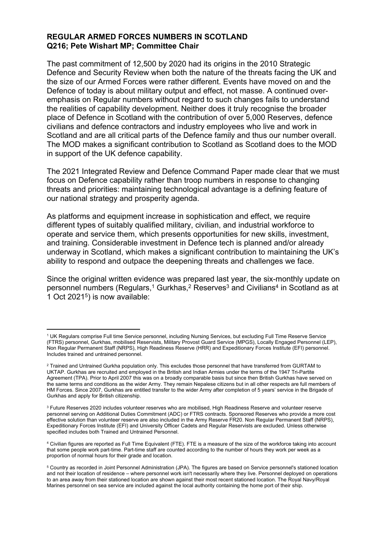## **REGULAR ARMED FORCES NUMBERS IN SCOTLAND Q216; Pete Wishart MP; Committee Chair**

The past commitment of 12,500 by 2020 had its origins in the 2010 Strategic Defence and Security Review when both the nature of the threats facing the UK and the size of our Armed Forces were rather different. Events have moved on and the Defence of today is about military output and effect, not masse. A continued overemphasis on Regular numbers without regard to such changes fails to understand the realities of capability development. Neither does it truly recognise the broader place of Defence in Scotland with the contribution of over 5,000 Reserves, defence civilians and defence contractors and industry employees who live and work in Scotland and are all critical parts of the Defence family and thus our number overall. The MOD makes a significant contribution to Scotland as Scotland does to the MOD in support of the UK defence capability.

The 2021 Integrated Review and Defence Command Paper made clear that we must focus on Defence capability rather than troop numbers in response to changing threats and priorities: maintaining technological advantage is a defining feature of our national strategy and prosperity agenda.

As platforms and equipment increase in sophistication and effect, we require different types of suitably qualified military, civilian, and industrial workforce to operate and service them, which presents opportunities for new skills, investment, and training. Considerable investment in Defence tech is planned and/or already underway in Scotland, which makes a significant contribution to maintaining the UK's ability to respond and outpace the deepening threats and challenges we face.

Since the original written evidence was prepared last year, the six-monthly update on personnel numbers (Regulars,<sup>1</sup> Gurkhas,<sup>2</sup> Reserves<sup>3</sup> and Civilians<sup>4</sup> in Scotland as at 1 Oct 2021<sup>5</sup> ) is now available:

<sup>1</sup> UK Regulars comprise Full time Service personnel, including Nursing Services, but excluding Full Time Reserve Service (FTRS) personnel, Gurkhas, mobilised Reservists, Military Provost Guard Service (MPGS), Locally Engaged Personnel (LEP), Non Regular Permanent Staff (NRPS), High Readiness Reserve (HRR) and Expeditionary Forces Institute (EFI) personnel. Includes trained and untrained personnel.

<sup>&</sup>lt;sup>2</sup> Trained and Untrained Gurkha population only. This excludes those personnel that have transferred from GURTAM to UKTAP. Gurkhas are recruited and employed in the British and Indian Armies under the terms of the 1947 Tri-Partite Agreement (TPA). Prior to April 2007 this was on a broadly comparable basis but since then British Gurkhas have served on the same terms and conditions as the wider Army. They remain Nepalese citizens but in all other respects are full members of HM Forces. Since 2007, Gurkhas are entitled transfer to the wider Army after completion of 5 years' service in the Brigade of Gurkhas and apply for British citizenship.

<sup>&</sup>lt;sup>3</sup> Future Reserves 2020 includes volunteer reserves who are mobilised, High Readiness Reserve and volunteer reserve personnel serving on Additional Duties Commitment (ADC) or FTRS contracts. Sponsored Reserves who provide a more cost effective solution than volunteer reserve are also included in the Army Reserve FR20. Non Regular Permanent Staff (NRPS), Expeditionary Forces Institute (EFI) and University Officer Cadets and Regular Reservists are excluded. Unless otherwise specified includes both Trained and Untrained Personnel.

<sup>4</sup> Civilian figures are reported as Full Time Equivalent (FTE). FTE is a measure of the size of the workforce taking into account that some people work part-time. Part-time staff are counted according to the number of hours they work per week as a proportion of normal hours for their grade and location.

<sup>5</sup> Country as recorded in Joint Personnel Administration (JPA). The figures are based on Service personnel's stationed location and not their location of residence – where personnel work isn't necessarily where they live. Personnel deployed on operations to an area away from their stationed location are shown against their most recent stationed location. The Royal Navy/Royal Marines personnel on sea service are included against the local authority containing the home port of their ship.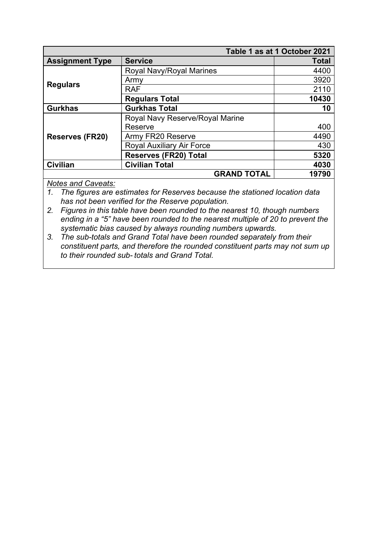| Table 1 as at 1 October 2021 |                                  |              |
|------------------------------|----------------------------------|--------------|
| <b>Assignment Type</b>       | <b>Service</b>                   | <b>Total</b> |
| <b>Regulars</b>              | Royal Navy/Royal Marines         | 4400         |
|                              | Army                             | 3920         |
|                              | <b>RAF</b>                       | 2110         |
|                              | <b>Regulars Total</b>            | 10430        |
| <b>Gurkhas</b>               | <b>Gurkhas Total</b>             | 10           |
| <b>Reserves (FR20)</b>       | Royal Navy Reserve/Royal Marine  |              |
|                              | Reserve                          | 400          |
|                              | Army FR20 Reserve                | 4490         |
|                              | <b>Royal Auxiliary Air Force</b> | 430          |
|                              | <b>Reserves (FR20) Total</b>     | 5320         |
| <b>Civilian</b>              | <b>Civilian Total</b>            | 4030         |
| <b>GRAND TOTAL</b>           |                                  | 19790        |

# *Notes and Caveats:*

*1. The figures are estimates for Reserves because the stationed location data has not been verified for the Reserve population.*

- *2. Figures in this table have been rounded to the nearest 10, though numbers ending in a "5" have been rounded to the nearest multiple of 20 to prevent the systematic bias caused by always rounding numbers upwards.*
- *3. The sub-totals and Grand Total have been rounded separately from their constituent parts, and therefore the rounded constituent parts may not sum up to their rounded sub- totals and Grand Total.*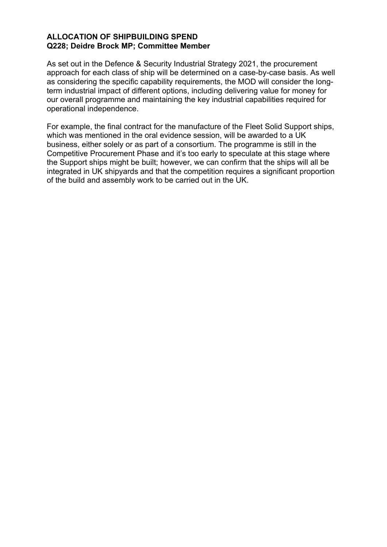# **ALLOCATION OF SHIPBUILDING SPEND Q228; Deidre Brock MP; Committee Member**

As set out in the Defence & Security Industrial Strategy 2021, the procurement approach for each class of ship will be determined on a case-by-case basis. As well as considering the specific capability requirements, the MOD will consider the longterm industrial impact of different options, including delivering value for money for our overall programme and maintaining the key industrial capabilities required for operational independence.

For example, the final contract for the manufacture of the Fleet Solid Support ships, which was mentioned in the oral evidence session, will be awarded to a UK business, either solely or as part of a consortium. The programme is still in the Competitive Procurement Phase and it's too early to speculate at this stage where the Support ships might be built; however, we can confirm that the ships will all be integrated in UK shipyards and that the competition requires a significant proportion of the build and assembly work to be carried out in the UK.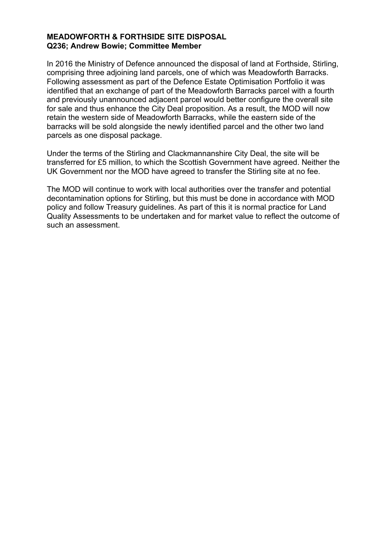## **MEADOWFORTH & FORTHSIDE SITE DISPOSAL Q236; Andrew Bowie; Committee Member**

In 2016 the Ministry of Defence announced the disposal of land at Forthside, Stirling, comprising three adjoining land parcels, one of which was Meadowforth Barracks. Following assessment as part of the Defence Estate Optimisation Portfolio it was identified that an exchange of part of the Meadowforth Barracks parcel with a fourth and previously unannounced adjacent parcel would better configure the overall site for sale and thus enhance the City Deal proposition. As a result, the MOD will now retain the western side of Meadowforth Barracks, while the eastern side of the barracks will be sold alongside the newly identified parcel and the other two land parcels as one disposal package.

Under the terms of the Stirling and Clackmannanshire City Deal, the site will be transferred for £5 million, to which the Scottish Government have agreed. Neither the UK Government nor the MOD have agreed to transfer the Stirling site at no fee.

The MOD will continue to work with local authorities over the transfer and potential decontamination options for Stirling, but this must be done in accordance with MOD policy and follow Treasury guidelines. As part of this it is normal practice for Land Quality Assessments to be undertaken and for market value to reflect the outcome of such an assessment.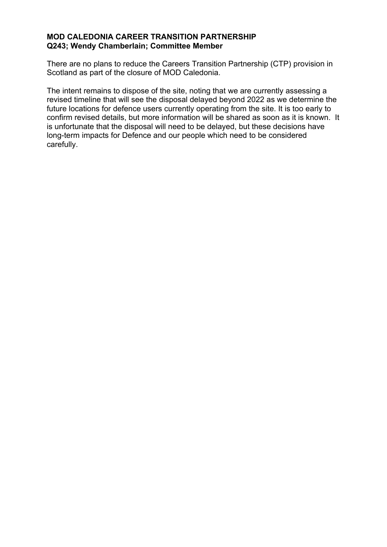## **MOD CALEDONIA CAREER TRANSITION PARTNERSHIP Q243; Wendy Chamberlain; Committee Member**

There are no plans to reduce the Careers Transition Partnership (CTP) provision in Scotland as part of the closure of MOD Caledonia.

The intent remains to dispose of the site, noting that we are currently assessing a revised timeline that will see the disposal delayed beyond 2022 as we determine the future locations for defence users currently operating from the site. It is too early to confirm revised details, but more information will be shared as soon as it is known. It is unfortunate that the disposal will need to be delayed, but these decisions have long-term impacts for Defence and our people which need to be considered carefully.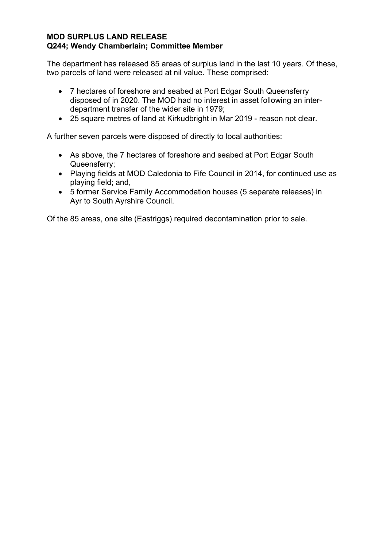## **MOD SURPLUS LAND RELEASE Q244; Wendy Chamberlain; Committee Member**

The department has released 85 areas of surplus land in the last 10 years. Of these, two parcels of land were released at nil value. These comprised:

- 7 hectares of foreshore and seabed at Port Edgar South Queensferry disposed of in 2020. The MOD had no interest in asset following an interdepartment transfer of the wider site in 1979;
- 25 square metres of land at Kirkudbright in Mar 2019 reason not clear.

A further seven parcels were disposed of directly to local authorities:

- As above, the 7 hectares of foreshore and seabed at Port Edgar South Queensferry;
- Playing fields at MOD Caledonia to Fife Council in 2014, for continued use as playing field; and,
- 5 former Service Family Accommodation houses (5 separate releases) in Ayr to South Ayrshire Council.

Of the 85 areas, one site (Eastriggs) required decontamination prior to sale.